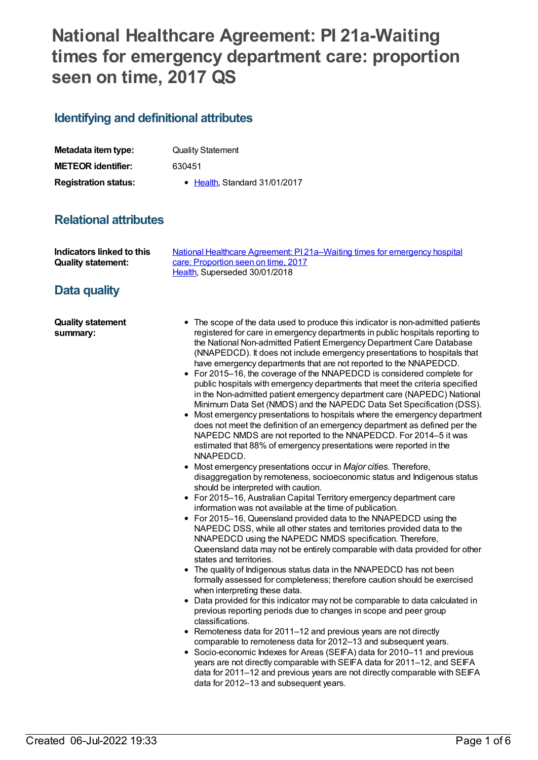# **National Healthcare Agreement: PI 21a-Waiting times for emergency department care: proportion seen on time, 2017 QS**

# **Identifying and definitional attributes**

| Metadata item type:         | <b>Quality Statement</b>      |
|-----------------------------|-------------------------------|
| <b>METEOR identifier:</b>   | 630451                        |
| <b>Registration status:</b> | • Health, Standard 31/01/2017 |

# **Relational attributes**

| Indicators linked to this | National Healthcare Agreement: PI 21a–Waiting times for emergency hospital |
|---------------------------|----------------------------------------------------------------------------|
| <b>Quality statement:</b> | care: Proportion seen on time, 2017                                        |
|                           | Health. Superseded 30/01/2018                                              |

# **Data quality**

**Quality statement summary:**

- The scope of the data used to produce this indicator is non-admitted patients registered for care in emergency departments in public hospitals reporting to the National Non-admitted Patient Emergency Department Care Database (NNAPEDCD). It does not include emergency presentations to hospitals that have emergency departments that are not reported to the NNAPEDCD.
- For 2015–16, the coverage of the NNAPEDCD is considered complete for public hospitals with emergency departments that meet the criteria specified in the Non-admitted patient emergency department care (NAPEDC) National Minimum Data Set (NMDS) and the NAPEDC Data Set Specification (DSS).
- Most emergency presentations to hospitals where the emergency department does not meet the definition of an emergency department as defined per the NAPEDC NMDS are not reported to the NNAPEDCD. For 2014–5 it was estimated that 88% of emergency presentations were reported in the NNAPEDCD.
- Most emergency presentations occur in *Major cities*. Therefore, disaggregation by remoteness, socioeconomic status and Indigenous status should be interpreted with caution.
- For 2015–16, Australian Capital Territory emergency department care information was not available at the time of publication.
- For 2015–16, Queensland provided data to the NNAPEDCD using the NAPEDC DSS, while all other states and territories provided data to the NNAPEDCD using the NAPEDC NMDS specification. Therefore, Queensland data may not be entirely comparable with data provided for other states and territories.
- The quality of Indigenous status data in the NNAPEDCD has not been formally assessed for completeness; therefore caution should be exercised when interpreting these data.
- Data provided for this indicator may not be comparable to data calculated in previous reporting periods due to changes in scope and peer group classifications.
- Remoteness data for 2011–12 and previous years are not directly comparable to remoteness data for 2012–13 and subsequent years.
- Socio-economic Indexes for Areas (SEIFA) data for 2010–11 and previous years are not directly comparable with SEIFA data for 2011–12, and SEIFA data for 2011–12 and previous years are not directly comparable with SEIFA data for 2012–13 and subsequent years.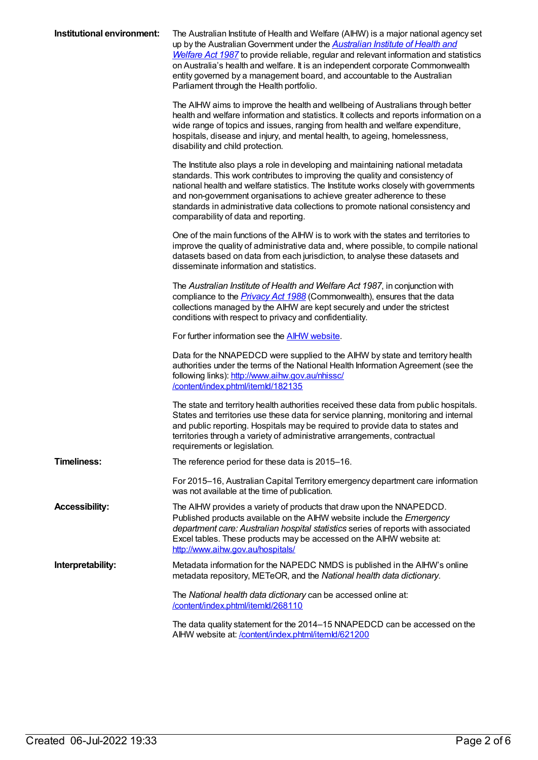| Institutional environment: | The Australian Institute of Health and Welfare (AIHW) is a major national agency set<br>up by the Australian Government under the <b>Australian Institute of Health and</b><br>Welfare Act 1987 to provide reliable, regular and relevant information and statistics<br>on Australia's health and welfare. It is an independent corporate Commonwealth<br>entity governed by a management board, and accountable to the Australian<br>Parliament through the Health portfolio. |
|----------------------------|--------------------------------------------------------------------------------------------------------------------------------------------------------------------------------------------------------------------------------------------------------------------------------------------------------------------------------------------------------------------------------------------------------------------------------------------------------------------------------|
|                            | The AIHW aims to improve the health and wellbeing of Australians through better<br>health and welfare information and statistics. It collects and reports information on a<br>wide range of topics and issues, ranging from health and welfare expenditure,<br>hospitals, disease and injury, and mental health, to ageing, homelessness,<br>disability and child protection.                                                                                                  |
|                            | The Institute also plays a role in developing and maintaining national metadata<br>standards. This work contributes to improving the quality and consistency of<br>national health and welfare statistics. The Institute works closely with governments<br>and non-government organisations to achieve greater adherence to these<br>standards in administrative data collections to promote national consistency and<br>comparability of data and reporting.                  |
|                            | One of the main functions of the AIHW is to work with the states and territories to<br>improve the quality of administrative data and, where possible, to compile national<br>datasets based on data from each jurisdiction, to analyse these datasets and<br>disseminate information and statistics.                                                                                                                                                                          |
|                            | The Australian Institute of Health and Welfare Act 1987, in conjunction with<br>compliance to the <i>Privacy Act 1988</i> (Commonwealth), ensures that the data<br>collections managed by the AIHW are kept securely and under the strictest<br>conditions with respect to privacy and confidentiality.                                                                                                                                                                        |
|                            | For further information see the <b>AIHW</b> website.                                                                                                                                                                                                                                                                                                                                                                                                                           |
|                            | Data for the NNAPEDCD were supplied to the AIHW by state and territory health<br>authorities under the terms of the National Health Information Agreement (see the<br>following links): http://www.aihw.gov.au/nhissc/<br>/content/index.phtml/itemld/182135                                                                                                                                                                                                                   |
|                            | The state and territory health authorities received these data from public hospitals.<br>States and territories use these data for service planning, monitoring and internal<br>and public reporting. Hospitals may be required to provide data to states and<br>territories through a variety of administrative arrangements, contractual<br>requirements or legislation.                                                                                                     |
| <b>Timeliness:</b>         | The reference period for these data is 2015-16.                                                                                                                                                                                                                                                                                                                                                                                                                                |
|                            | For 2015-16, Australian Capital Territory emergency department care information<br>was not available at the time of publication.                                                                                                                                                                                                                                                                                                                                               |
| <b>Accessibility:</b>      | The AIHW provides a variety of products that draw upon the NNAPEDCD.<br>Published products available on the AIHW website include the Emergency<br>department care: Australian hospital statistics series of reports with associated<br>Excel tables. These products may be accessed on the AIHW website at:<br>http://www.aihw.gov.au/hospitals/                                                                                                                               |
| Interpretability:          | Metadata information for the NAPEDC NMDS is published in the AIHW's online<br>metadata repository, METeOR, and the National health data dictionary.                                                                                                                                                                                                                                                                                                                            |
|                            | The National health data dictionary can be accessed online at:<br>/content/index.phtml/itemld/268110                                                                                                                                                                                                                                                                                                                                                                           |
|                            | The data quality statement for the 2014–15 NNAPEDCD can be accessed on the<br>AIHW website at: /content/index.phtml/itemld/621200                                                                                                                                                                                                                                                                                                                                              |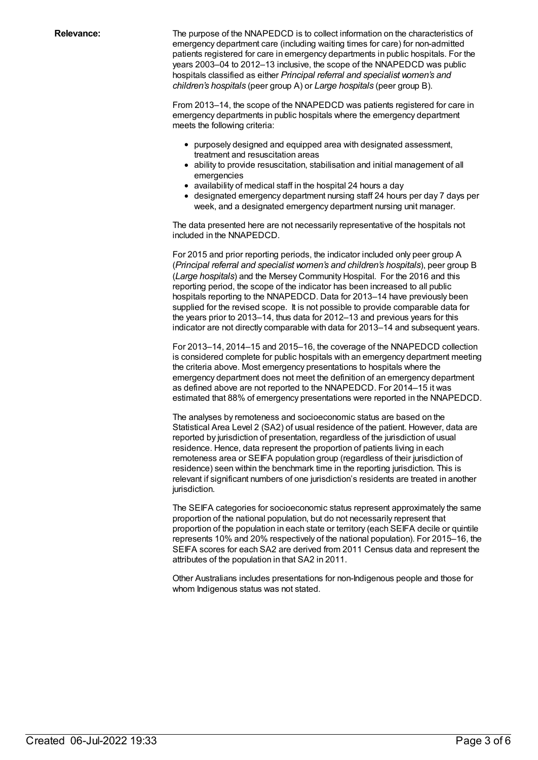**Relevance:** The purpose of the NNAPEDCD is to collect information on the characteristics of emergency department care (including waiting times for care) for non-admitted patients registered for care in emergency departments in public hospitals. For the years 2003–04 to 2012–13 inclusive, the scope of the NNAPEDCD was public hospitals classified as either *Principal referral and specialist women's and children's hospitals* (peer group A) or *Large hospitals* (peer group B).

> From 2013–14, the scope of the NNAPEDCD was patients registered for care in emergency departments in public hospitals where the emergency department meets the following criteria:

- purposely designed and equipped area with designated assessment, treatment and resuscitation areas
- ability to provide resuscitation, stabilisation and initial management of all emergencies
- availability of medical staff in the hospital 24 hours a day
- designated emergency department nursing staff 24 hours per day 7 days per week, and a designated emergency department nursing unit manager.

The data presented here are not necessarily representative of the hospitals not included in the NNAPEDCD.

For 2015 and prior reporting periods, the indicator included only peer group A (*Principal referral and specialist women's and children's hospitals*), peer group B (*Large hospitals*) and the Mersey Community Hospital. For the 2016 and this reporting period, the scope of the indicator has been increased to all public hospitals reporting to the NNAPEDCD. Data for 2013–14 have previously been supplied for the revised scope. It is not possible to provide comparable data for the years prior to 2013–14, thus data for 2012–13 and previous years for this indicator are not directly comparable with data for 2013–14 and subsequent years.

For 2013–14, 2014–15 and 2015–16, the coverage of the NNAPEDCD collection is considered complete for public hospitals with an emergency department meeting the criteria above. Most emergency presentations to hospitals where the emergency department does not meet the definition of an emergency department as defined above are not reported to the NNAPEDCD. For 2014–15 it was estimated that 88% of emergency presentations were reported in the NNAPEDCD.

The analyses by remoteness and socioeconomic status are based on the Statistical Area Level 2 (SA2) of usual residence of the patient. However, data are reported by jurisdiction of presentation, regardless of the jurisdiction of usual residence. Hence, data represent the proportion of patients living in each remoteness area or SEIFA population group (regardless of their jurisdiction of residence) seen within the benchmark time in the reporting jurisdiction. This is relevant if significant numbers of one jurisdiction's residents are treated in another jurisdiction.

The SEIFA categories for socioeconomic status represent approximately the same proportion of the national population, but do not necessarily represent that proportion of the population in each state or territory (each SEIFA decile or quintile represents 10% and 20% respectively of the national population). For 2015–16, the SEIFA scores for each SA2 are derived from 2011 Census data and represent the attributes of the population in that SA2 in 2011.

Other Australians includes presentations for non-Indigenous people and those for whom Indigenous status was not stated.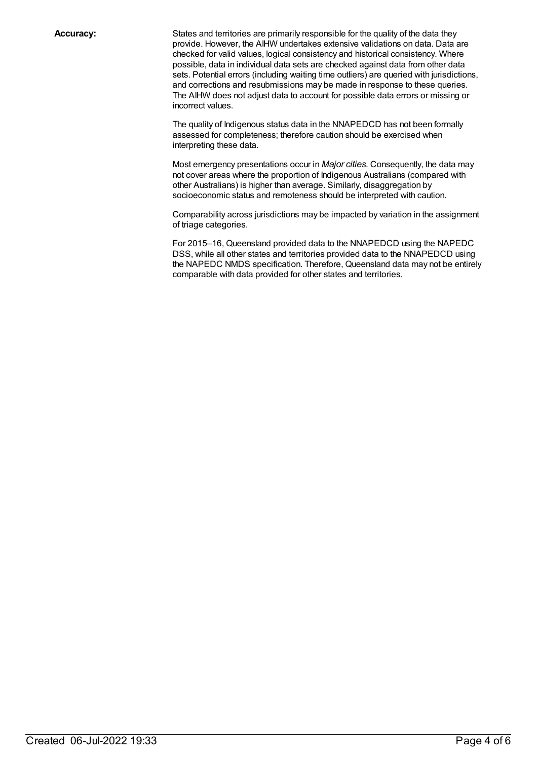**Accuracy:** States and territories are primarily responsible for the quality of the data they provide. However, the AIHW undertakes extensive validations on data. Data are checked for valid values, logical consistency and historical consistency. Where possible, data in individual data sets are checked against data from other data sets. Potential errors (including waiting time outliers) are queried with jurisdictions, and corrections and resubmissions may be made in response to these queries. The AIHW does not adjust data to account for possible data errors or missing or incorrect values.

> The quality of Indigenous status data in the NNAPEDCD has not been formally assessed for completeness; therefore caution should be exercised when interpreting these data.

Most emergency presentations occur in *Major cities*. Consequently, the data may not cover areas where the proportion of Indigenous Australians (compared with other Australians) is higher than average. Similarly, disaggregation by socioeconomic status and remoteness should be interpreted with caution.

Comparability across jurisdictions may be impacted by variation in the assignment of triage categories.

For 2015–16, Queensland provided data to the NNAPEDCD using the NAPEDC DSS, while all other states and territories provided data to the NNAPEDCD using the NAPEDC NMDS specification. Therefore, Queensland data may not be entirely comparable with data provided for other states and territories.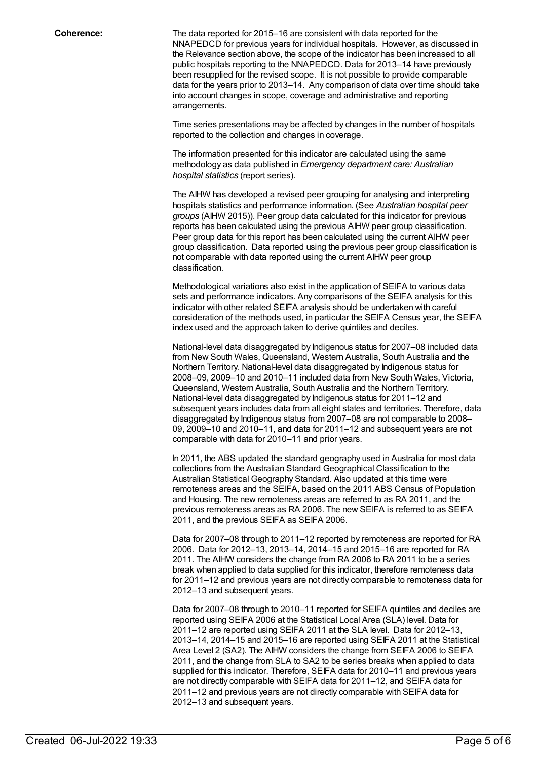**Coherence:** The data reported for 2015–16 are consistent with data reported for the NNAPEDCD for previous years for individual hospitals. However, as discussed in the Relevance section above, the scope of the indicator has been increased to all public hospitals reporting to the NNAPEDCD. Data for 2013–14 have previously been resupplied for the revised scope. It is not possible to provide comparable data for the years prior to 2013–14. Any comparison of data over time should take into account changes in scope, coverage and administrative and reporting arrangements.

> Time series presentations may be affected by changes in the number of hospitals reported to the collection and changes in coverage.

The information presented for this indicator are calculated using the same methodology as data published in *Emergency department care: Australian hospital statistics* (report series).

The AIHW has developed a revised peer grouping for analysing and interpreting hospitals statistics and performance information. (See *Australian hospital peer groups* (AIHW 2015)). Peer group data calculated for this indicator for previous reports has been calculated using the previous AIHW peer group classification. Peer group data for this report has been calculated using the current AIHW peer group classification. Data reported using the previous peer group classification is not comparable with data reported using the current AIHW peer group classification.

Methodological variations also exist in the application of SEIFA to various data sets and performance indicators. Any comparisons of the SEIFA analysis for this indicator with other related SEIFA analysis should be undertaken with careful consideration of the methods used, in particular the SEIFA Census year, the SEIFA index used and the approach taken to derive quintiles and deciles.

National-level data disaggregated by Indigenous status for 2007–08 included data from New South Wales, Queensland, Western Australia, South Australia and the Northern Territory. National-level data disaggregated by Indigenous status for 2008–09, 2009–10 and 2010–11 included data from New South Wales, Victoria, Queensland, Western Australia, South Australia and the Northern Territory. National-level data disaggregated by Indigenous status for 2011–12 and subsequent years includes data from all eight states and territories. Therefore, data disaggregated by Indigenous status from 2007–08 are not comparable to 2008– 09, 2009–10 and 2010–11, and data for 2011–12 and subsequent years are not comparable with data for 2010–11 and prior years.

In 2011, the ABS updated the standard geography used in Australia for most data collections from the Australian Standard Geographical Classification to the Australian Statistical Geography Standard. Also updated at this time were remoteness areas and the SEIFA, based on the 2011 ABS Census of Population and Housing. The new remoteness areas are referred to as RA 2011, and the previous remoteness areas as RA 2006. The new SEIFA is referred to as SEIFA 2011, and the previous SEIFA as SEIFA 2006.

Data for 2007–08 through to 2011–12 reported by remoteness are reported for RA 2006. Data for 2012–13, 2013–14, 2014–15 and 2015–16 are reported for RA 2011. The AIHW considers the change from RA 2006 to RA 2011 to be a series break when applied to data supplied for this indicator, therefore remoteness data for 2011–12 and previous years are not directly comparable to remoteness data for 2012–13 and subsequent years.

Data for 2007–08 through to 2010–11 reported for SEIFA quintiles and deciles are reported using SEIFA 2006 at the Statistical Local Area (SLA) level. Data for 2011–12 are reported using SEIFA 2011 at the SLA level. Data for 2012–13, 2013–14, 2014–15 and 2015–16 are reported using SEIFA 2011 at the Statistical Area Level 2 (SA2). The AIHW considers the change from SEIFA 2006 to SEIFA 2011, and the change from SLA to SA2 to be series breaks when applied to data supplied for this indicator. Therefore, SEIFA data for 2010–11 and previous years are not directly comparable with SEIFA data for 2011–12, and SEIFA data for 2011–12 and previous years are not directly comparable with SEIFA data for 2012–13 and subsequent years.